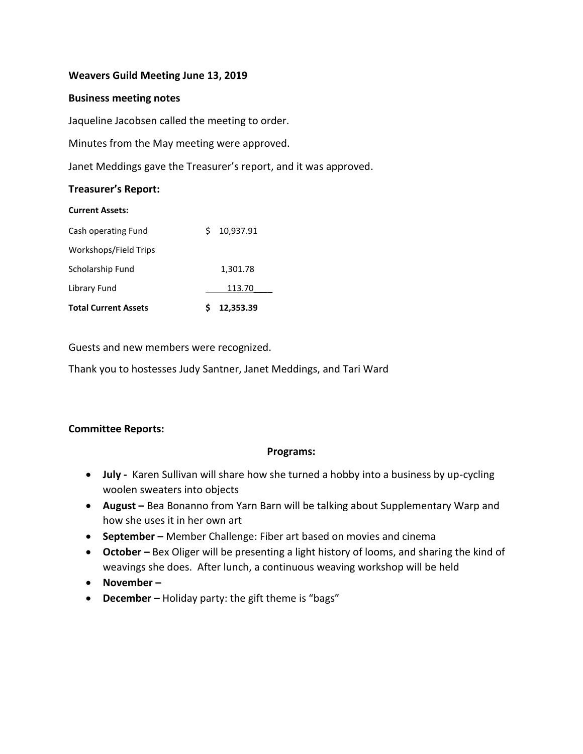### **Weavers Guild Meeting June 13, 2019**

#### **Business meeting notes**

Jaqueline Jacobsen called the meeting to order.

Minutes from the May meeting were approved.

Janet Meddings gave the Treasurer's report, and it was approved.

#### **Treasurer's Report:**

| <b>Current Assets:</b>      |   |           |  |
|-----------------------------|---|-----------|--|
| Cash operating Fund         | S | 10,937.91 |  |
| Workshops/Field Trips       |   |           |  |
| Scholarship Fund            |   | 1,301.78  |  |
| Library Fund                |   | 113.70    |  |
| <b>Total Current Assets</b> |   | 12,353.39 |  |

Guests and new members were recognized.

Thank you to hostesses Judy Santner, Janet Meddings, and Tari Ward

# **Committee Reports:**

### **Programs:**

- **July -** Karen Sullivan will share how she turned a hobby into a business by up-cycling woolen sweaters into objects
- **August –** Bea Bonanno from Yarn Barn will be talking about Supplementary Warp and how she uses it in her own art
- **September –** Member Challenge: Fiber art based on movies and cinema
- **October –** Bex Oliger will be presenting a light history of looms, and sharing the kind of weavings she does. After lunch, a continuous weaving workshop will be held
- **November –**
- **December –** Holiday party: the gift theme is "bags"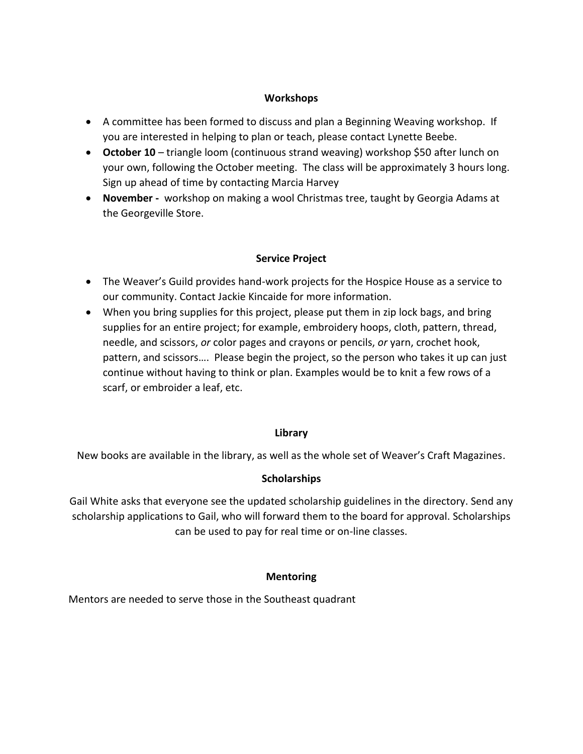### **Workshops**

- A committee has been formed to discuss and plan a Beginning Weaving workshop. If you are interested in helping to plan or teach, please contact Lynette Beebe.
- **October 10** triangle loom (continuous strand weaving) workshop \$50 after lunch on your own, following the October meeting. The class will be approximately 3 hours long. Sign up ahead of time by contacting Marcia Harvey
- **November -** workshop on making a wool Christmas tree, taught by Georgia Adams at the Georgeville Store.

### **Service Project**

- The Weaver's Guild provides hand-work projects for the Hospice House as a service to our community. Contact Jackie Kincaide for more information.
- When you bring supplies for this project, please put them in zip lock bags, and bring supplies for an entire project; for example, embroidery hoops, cloth, pattern, thread, needle, and scissors, *or* color pages and crayons or pencils, *or* yarn, crochet hook, pattern, and scissors…. Please begin the project, so the person who takes it up can just continue without having to think or plan. Examples would be to knit a few rows of a scarf, or embroider a leaf, etc.

### **Library**

New books are available in the library, as well as the whole set of Weaver's Craft Magazines.

### **Scholarships**

Gail White asks that everyone see the updated scholarship guidelines in the directory. Send any scholarship applications to Gail, who will forward them to the board for approval. Scholarships can be used to pay for real time or on-line classes.

# **Mentoring**

Mentors are needed to serve those in the Southeast quadrant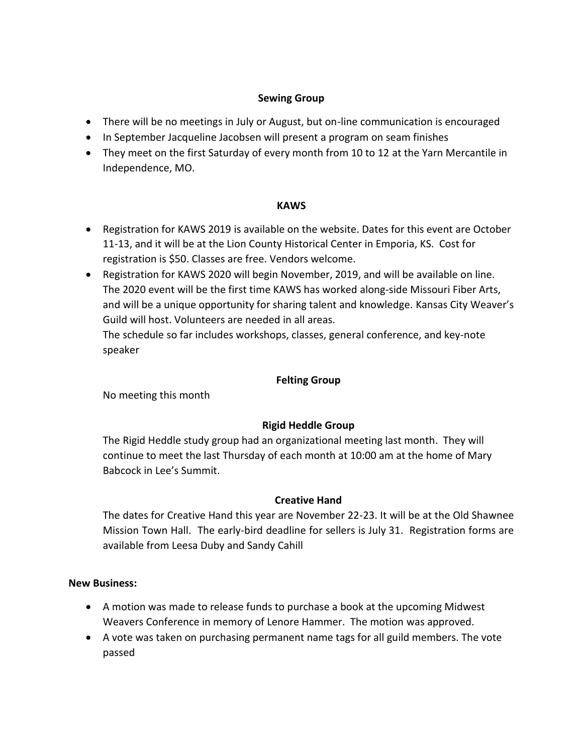## **Sewing Group**

- There will be no meetings in July or August, but on-line communication is encouraged
- In September Jacqueline Jacobsen will present a program on seam finishes
- They meet on the first Saturday of every month from 10 to 12 at the Yarn Mercantile in Independence, MO.

### **KAWS**

- Registration for KAWS 2019 is available on the website. Dates for this event are October 11-13, and it will be at the Lion County Historical Center in Emporia, KS. Cost for registration is \$50. Classes are free. Vendors welcome.
- Registration for KAWS 2020 will begin November, 2019, and will be available on line. The 2020 event will be the first time KAWS has worked along-side Missouri Fiber Arts, and will be a unique opportunity for sharing talent and knowledge. Kansas City Weaver's Guild will host. Volunteers are needed in all areas.

The schedule so far includes workshops, classes, general conference, and key-note speaker

## **Felting Group**

No meeting this month

# **Rigid Heddle Group**

The Rigid Heddle study group had an organizational meeting last month. They will continue to meet the last Thursday of each month at 10:00 am at the home of Mary Babcock in Lee's Summit.

# **Creative Hand**

The dates for Creative Hand this year are November 22-23. It will be at the Old Shawnee Mission Town Hall. The early-bird deadline for sellers is July 31. Registration forms are available from Leesa Duby and Sandy Cahill

### **New Business:**

- A motion was made to release funds to purchase a book at the upcoming Midwest Weavers Conference in memory of Lenore Hammer. The motion was approved.
- A vote was taken on purchasing permanent name tags for all guild members. The vote passed